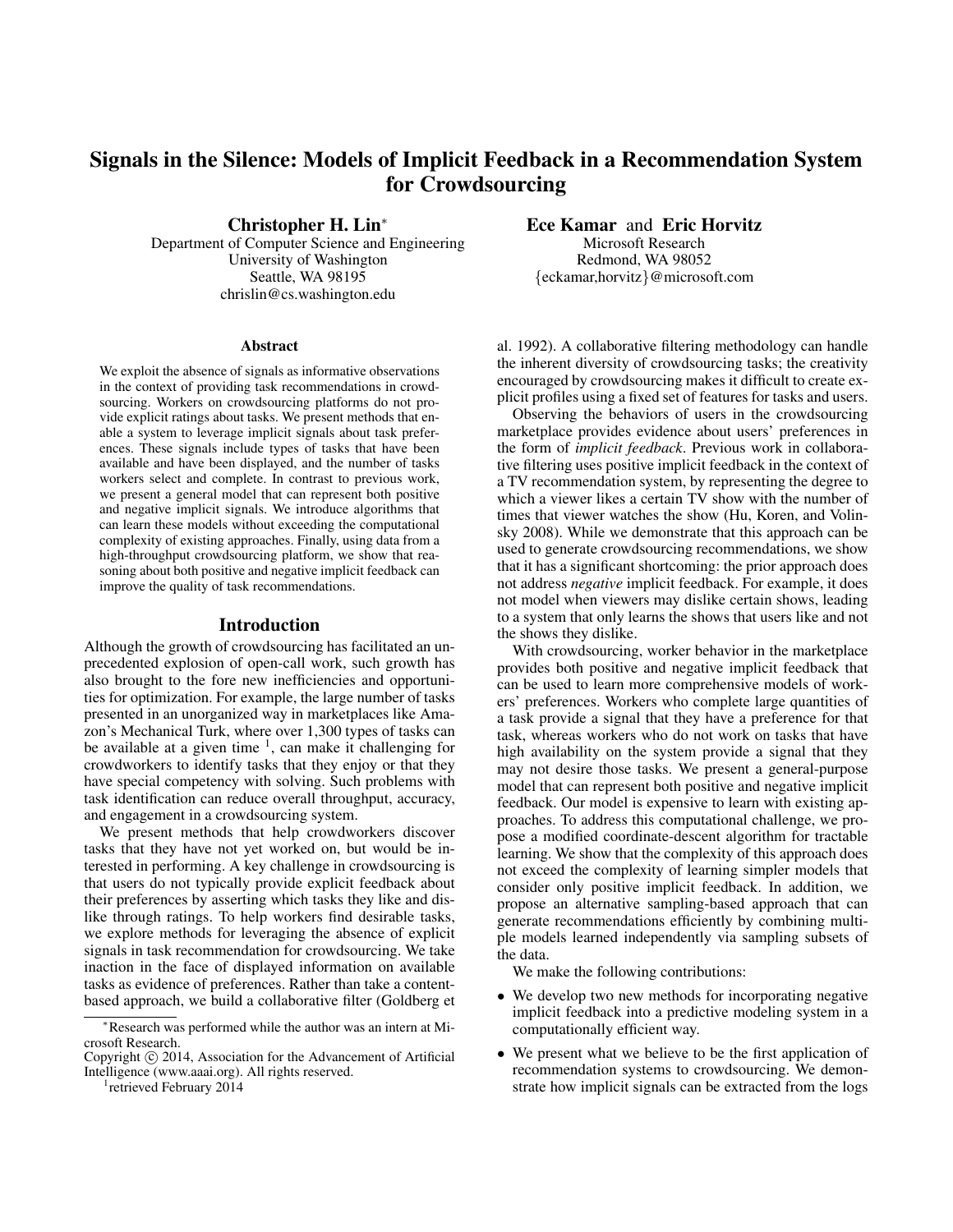# Signals in the Silence: Models of Implicit Feedback in a Recommendation System for Crowdsourcing

Christopher H. Lin<sup>∗</sup>

Department of Computer Science and Engineering University of Washington Seattle, WA 98195 chrislin@cs.washington.edu

#### Abstract

We exploit the absence of signals as informative observations in the context of providing task recommendations in crowdsourcing. Workers on crowdsourcing platforms do not provide explicit ratings about tasks. We present methods that enable a system to leverage implicit signals about task preferences. These signals include types of tasks that have been available and have been displayed, and the number of tasks workers select and complete. In contrast to previous work, we present a general model that can represent both positive and negative implicit signals. We introduce algorithms that can learn these models without exceeding the computational complexity of existing approaches. Finally, using data from a high-throughput crowdsourcing platform, we show that reasoning about both positive and negative implicit feedback can improve the quality of task recommendations.

#### Introduction

Although the growth of crowdsourcing has facilitated an unprecedented explosion of open-call work, such growth has also brought to the fore new inefficiencies and opportunities for optimization. For example, the large number of tasks presented in an unorganized way in marketplaces like Amazon's Mechanical Turk, where over 1,300 types of tasks can be available at a given time  $<sup>1</sup>$ , can make it challenging for</sup> crowdworkers to identify tasks that they enjoy or that they have special competency with solving. Such problems with task identification can reduce overall throughput, accuracy, and engagement in a crowdsourcing system.

We present methods that help crowdworkers discover tasks that they have not yet worked on, but would be interested in performing. A key challenge in crowdsourcing is that users do not typically provide explicit feedback about their preferences by asserting which tasks they like and dislike through ratings. To help workers find desirable tasks, we explore methods for leveraging the absence of explicit signals in task recommendation for crowdsourcing. We take inaction in the face of displayed information on available tasks as evidence of preferences. Rather than take a contentbased approach, we build a collaborative filter (Goldberg et

<sup>1</sup> retrieved February 2014

Ece Kamar and Eric Horvitz Microsoft Research

Redmond, WA 98052 {eckamar,horvitz}@microsoft.com

al. 1992). A collaborative filtering methodology can handle the inherent diversity of crowdsourcing tasks; the creativity encouraged by crowdsourcing makes it difficult to create explicit profiles using a fixed set of features for tasks and users.

Observing the behaviors of users in the crowdsourcing marketplace provides evidence about users' preferences in the form of *implicit feedback*. Previous work in collaborative filtering uses positive implicit feedback in the context of a TV recommendation system, by representing the degree to which a viewer likes a certain TV show with the number of times that viewer watches the show (Hu, Koren, and Volinsky 2008). While we demonstrate that this approach can be used to generate crowdsourcing recommendations, we show that it has a significant shortcoming: the prior approach does not address *negative* implicit feedback. For example, it does not model when viewers may dislike certain shows, leading to a system that only learns the shows that users like and not the shows they dislike.

With crowdsourcing, worker behavior in the marketplace provides both positive and negative implicit feedback that can be used to learn more comprehensive models of workers' preferences. Workers who complete large quantities of a task provide a signal that they have a preference for that task, whereas workers who do not work on tasks that have high availability on the system provide a signal that they may not desire those tasks. We present a general-purpose model that can represent both positive and negative implicit feedback. Our model is expensive to learn with existing approaches. To address this computational challenge, we propose a modified coordinate-descent algorithm for tractable learning. We show that the complexity of this approach does not exceed the complexity of learning simpler models that consider only positive implicit feedback. In addition, we propose an alternative sampling-based approach that can generate recommendations efficiently by combining multiple models learned independently via sampling subsets of the data.

We make the following contributions:

- We develop two new methods for incorporating negative implicit feedback into a predictive modeling system in a computationally efficient way.
- We present what we believe to be the first application of recommendation systems to crowdsourcing. We demonstrate how implicit signals can be extracted from the logs

<sup>∗</sup>Research was performed while the author was an intern at Microsoft Research.

Copyright © 2014, Association for the Advancement of Artificial Intelligence (www.aaai.org). All rights reserved.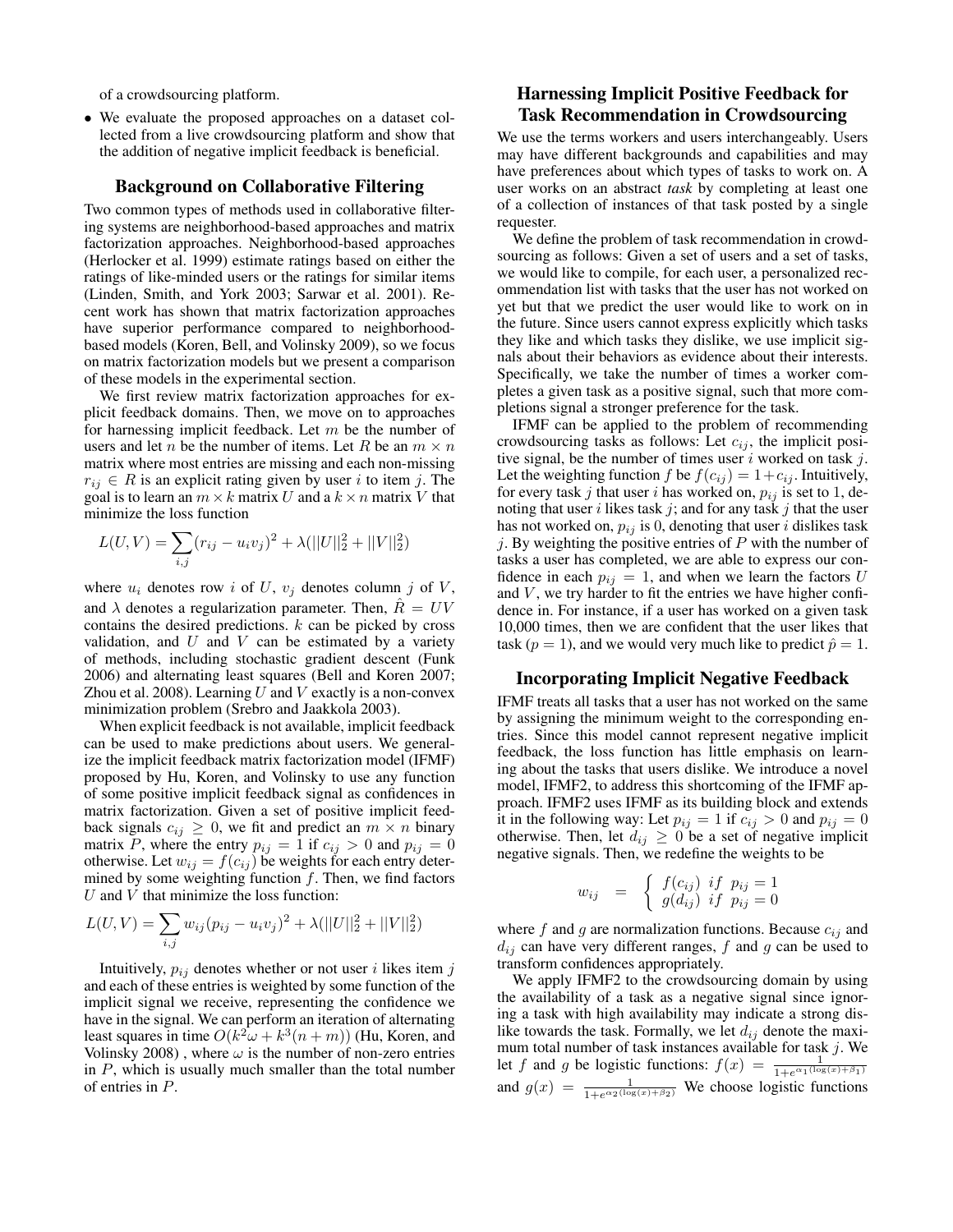of a crowdsourcing platform.

• We evaluate the proposed approaches on a dataset collected from a live crowdsourcing platform and show that the addition of negative implicit feedback is beneficial.

## Background on Collaborative Filtering

Two common types of methods used in collaborative filtering systems are neighborhood-based approaches and matrix factorization approaches. Neighborhood-based approaches (Herlocker et al. 1999) estimate ratings based on either the ratings of like-minded users or the ratings for similar items (Linden, Smith, and York 2003; Sarwar et al. 2001). Recent work has shown that matrix factorization approaches have superior performance compared to neighborhoodbased models (Koren, Bell, and Volinsky 2009), so we focus on matrix factorization models but we present a comparison of these models in the experimental section.

We first review matrix factorization approaches for explicit feedback domains. Then, we move on to approaches for harnessing implicit feedback. Let  $m$  be the number of users and let *n* be the number of items. Let *R* be an  $m \times n$ matrix where most entries are missing and each non-missing  $r_{ij} \in R$  is an explicit rating given by user i to item j. The goal is to learn an  $m \times k$  matrix U and a  $k \times n$  matrix V that minimize the loss function

$$
L(U, V) = \sum_{i,j} (r_{ij} - u_i v_j)^2 + \lambda (||U||_2^2 + ||V||_2^2)
$$

where  $u_i$  denotes row i of U,  $v_j$  denotes column j of V, and  $\lambda$  denotes a regularization parameter. Then,  $R = UV$ contains the desired predictions.  $k$  can be picked by cross validation, and  $U$  and  $V$  can be estimated by a variety of methods, including stochastic gradient descent (Funk 2006) and alternating least squares (Bell and Koren 2007; Zhou et al. 2008). Learning  $U$  and  $V$  exactly is a non-convex minimization problem (Srebro and Jaakkola 2003).

When explicit feedback is not available, implicit feedback can be used to make predictions about users. We generalize the implicit feedback matrix factorization model (IFMF) proposed by Hu, Koren, and Volinsky to use any function of some positive implicit feedback signal as confidences in matrix factorization. Given a set of positive implicit feedback signals  $c_{ij} \geq 0$ , we fit and predict an  $m \times n$  binary matrix P, where the entry  $p_{ij} = 1$  if  $c_{ij} > 0$  and  $p_{ij} = 0$ otherwise. Let  $w_{ij} = f(c_{ij})$  be weights for each entry determined by some weighting function  $f$ . Then, we find factors  $U$  and  $V$  that minimize the loss function:

$$
L(U, V) = \sum_{i,j} w_{ij} (p_{ij} - u_i v_j)^2 + \lambda (||U||_2^2 + ||V||_2^2)
$$

Intuitively,  $p_{ij}$  denotes whether or not user i likes item j and each of these entries is weighted by some function of the implicit signal we receive, representing the confidence we have in the signal. We can perform an iteration of alternating least squares in time  $O(k^2\omega + k^3(n+m))$  (Hu, Koren, and Volinsky 2008), where  $\omega$  is the number of non-zero entries in  $P$ , which is usually much smaller than the total number of entries in P.

# Harnessing Implicit Positive Feedback for Task Recommendation in Crowdsourcing

We use the terms workers and users interchangeably. Users may have different backgrounds and capabilities and may have preferences about which types of tasks to work on. A user works on an abstract *task* by completing at least one of a collection of instances of that task posted by a single requester.

We define the problem of task recommendation in crowdsourcing as follows: Given a set of users and a set of tasks, we would like to compile, for each user, a personalized recommendation list with tasks that the user has not worked on yet but that we predict the user would like to work on in the future. Since users cannot express explicitly which tasks they like and which tasks they dislike, we use implicit signals about their behaviors as evidence about their interests. Specifically, we take the number of times a worker completes a given task as a positive signal, such that more completions signal a stronger preference for the task.

IFMF can be applied to the problem of recommending crowdsourcing tasks as follows: Let  $c_{ij}$ , the implicit positive signal, be the number of times user  $i$  worked on task  $j$ . Let the weighting function f be  $f(c_{ij}) = 1 + c_{ij}$ . Intuitively, for every task j that user i has worked on,  $p_{ij}$  is set to 1, denoting that user  $i$  likes task  $j$ ; and for any task  $j$  that the user has not worked on,  $p_{ij}$  is 0, denoting that user i dislikes task  $j$ . By weighting the positive entries of  $P$  with the number of tasks a user has completed, we are able to express our confidence in each  $p_{ij} = 1$ , and when we learn the factors U and  $V$ , we try harder to fit the entries we have higher confidence in. For instance, if a user has worked on a given task 10,000 times, then we are confident that the user likes that task ( $p = 1$ ), and we would very much like to predict  $\hat{p} = 1$ .

#### Incorporating Implicit Negative Feedback

IFMF treats all tasks that a user has not worked on the same by assigning the minimum weight to the corresponding entries. Since this model cannot represent negative implicit feedback, the loss function has little emphasis on learning about the tasks that users dislike. We introduce a novel model, IFMF2, to address this shortcoming of the IFMF approach. IFMF2 uses IFMF as its building block and extends it in the following way: Let  $p_{ij} = 1$  if  $c_{ij} > 0$  and  $p_{ij} = 0$ otherwise. Then, let  $d_{ij} \geq 0$  be a set of negative implicit negative signals. Then, we redefine the weights to be

$$
w_{ij} = \begin{cases} f(c_{ij}) & \text{if } p_{ij} = 1 \\ g(d_{ij}) & \text{if } p_{ij} = 0 \end{cases}
$$

where f and g are normalization functions. Because  $c_{ij}$  and  $d_{ij}$  can have very different ranges, f and g can be used to transform confidences appropriately.

We apply IFMF2 to the crowdsourcing domain by using the availability of a task as a negative signal since ignoring a task with high availability may indicate a strong dislike towards the task. Formally, we let  $d_{ij}$  denote the maximum total number of task instances available for task  $j$ . We let f and g be logistic functions:  $f(x) = \frac{1}{1 + e^{\alpha_1(\log(x) + \beta_1)}}$ and  $g(x) = \frac{1}{1 + e^{\alpha_2(\log(x) + \beta_2)}}$  We choose logistic functions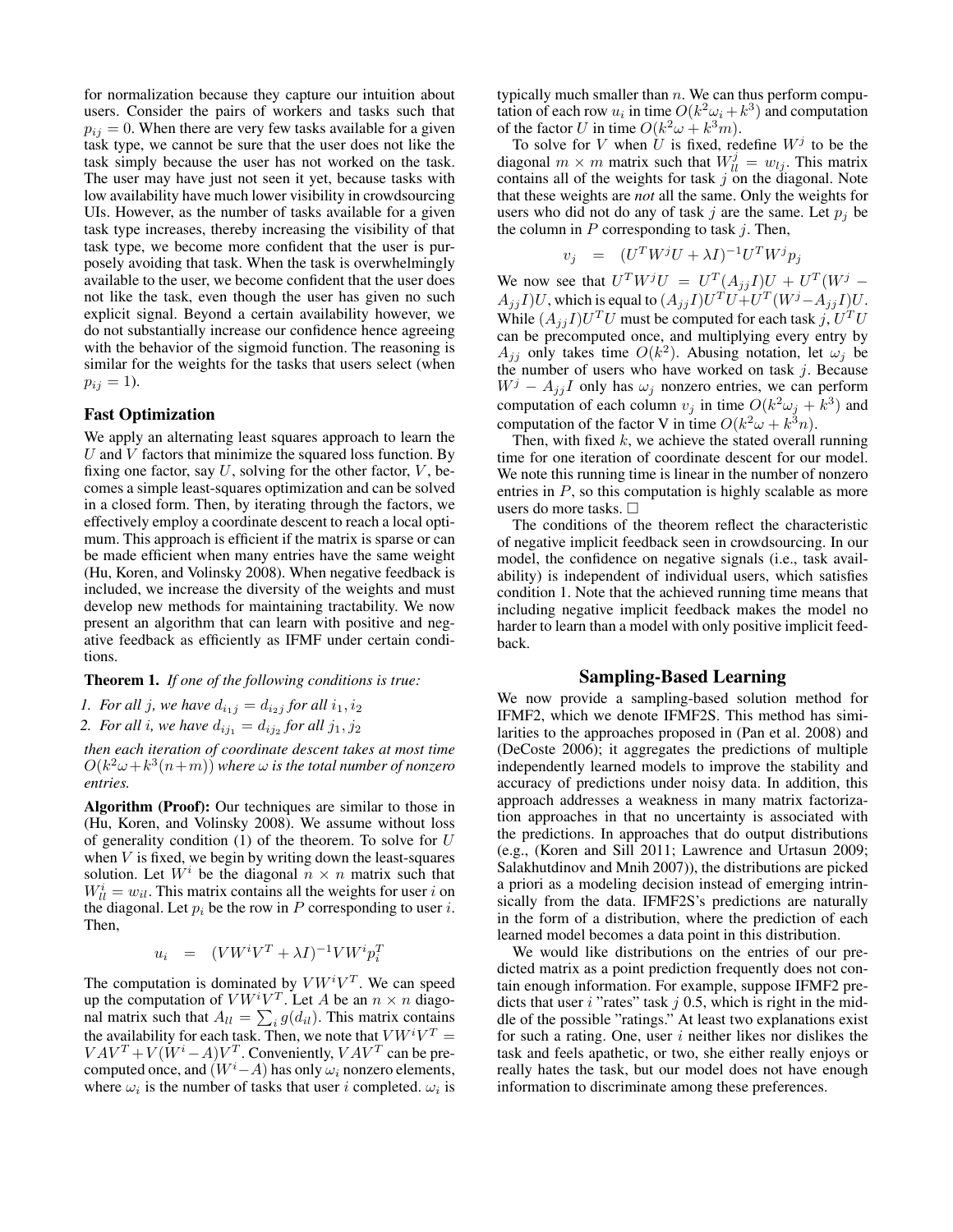for normalization because they capture our intuition about users. Consider the pairs of workers and tasks such that  $p_{ij} = 0$ . When there are very few tasks available for a given task type, we cannot be sure that the user does not like the task simply because the user has not worked on the task. The user may have just not seen it yet, because tasks with low availability have much lower visibility in crowdsourcing UIs. However, as the number of tasks available for a given task type increases, thereby increasing the visibility of that task type, we become more confident that the user is purposely avoiding that task. When the task is overwhelmingly available to the user, we become confident that the user does not like the task, even though the user has given no such explicit signal. Beyond a certain availability however, we do not substantially increase our confidence hence agreeing with the behavior of the sigmoid function. The reasoning is similar for the weights for the tasks that users select (when  $p_{ij} = 1$ ).

#### Fast Optimization

We apply an alternating least squares approach to learn the  $U$  and  $V$  factors that minimize the squared loss function. By fixing one factor, say  $U$ , solving for the other factor,  $V$ , becomes a simple least-squares optimization and can be solved in a closed form. Then, by iterating through the factors, we effectively employ a coordinate descent to reach a local optimum. This approach is efficient if the matrix is sparse or can be made efficient when many entries have the same weight (Hu, Koren, and Volinsky 2008). When negative feedback is included, we increase the diversity of the weights and must develop new methods for maintaining tractability. We now present an algorithm that can learn with positive and negative feedback as efficiently as IFMF under certain conditions.

Theorem 1. *If one of the following conditions is true:*

*1. For all j, we have*  $d_{i_1j} = d_{i_2j}$  *for all*  $i_1, i_2$ 

2. For all *i*, we have  $d_{ij_1} = d_{ij_2}$  for all  $j_1, j_2$ 

*then each iteration of coordinate descent takes at most time*  $O(k^2\omega + k^3(n+m))$  where  $\omega$  is the total number of nonzero *entries.*

Algorithm (Proof): Our techniques are similar to those in (Hu, Koren, and Volinsky 2008). We assume without loss of generality condition  $(1)$  of the theorem. To solve for U when  $V$  is fixed, we begin by writing down the least-squares solution. Let  $W^i$  be the diagonal  $n \times n$  matrix such that  $W_{ll}^{i} = w_{il}$ . This matrix contains all the weights for user i on the diagonal. Let  $p_i$  be the row in P corresponding to user i. Then,

$$
u_i = (V W^i V^T + \lambda I)^{-1} V W^i p_i^T
$$

The computation is dominated by  $V W^i V^T$ . We can speed up the computation of  $V W^i V^T$ . Let A be an  $n \times n$  diagonal matrix such that  $A_{ll} = \sum_i g(d_{il})$ . This matrix contains the availability for each task. Then, we note that  $V W^i V^T =$  $VAV^T + V(W^i - A)V^T$ . Conveniently,  $VAV^T$  can be precomputed once, and  $(W<sup>i</sup>-A)$  has only  $\omega_i$  nonzero elements, where  $\omega_i$  is the number of tasks that user i completed.  $\omega_i$  is

typically much smaller than  $n$ . We can thus perform computation of each row  $u_i$  in time  $O(k^2\omega_i + k^3)$  and computation of the factor U in time  $O(k^2\omega + k^3m)$ .

To solve for V when U is fixed, redefine  $W<sup>j</sup>$  to be the diagonal  $m \times m$  matrix such that  $W_{ll}^{j} = w_{lj}$ . This matrix contains all of the weights for task  $j$  on the diagonal. Note that these weights are *not* all the same. Only the weights for users who did not do any of task j are the same. Let  $p_i$  be the column in  $P$  corresponding to task  $j$ . Then,

$$
v_j = (U^T W^j U + \lambda I)^{-1} U^T W^j p_j
$$

We now see that  $U^T W^j U = U^T (A_{jj} I) U + U^T (W^j A_{jj}I)U$ , which is equal to  $(A_{jj}I)U^{T}U+U^{T}(W^{j}-A_{jj}I)U$ . While  $(A_{jj}I)U^TU$  must be computed for each task  $j, U^TU$ can be precomputed once, and multiplying every entry by  $A_{jj}$  only takes time  $O(k^2)$ . Abusing notation, let  $\omega_j$  be the number of users who have worked on task  $j$ . Because  $W^j - A_{jj}I$  only has  $\omega_j$  nonzero entries, we can perform computation of each column  $v_j$  in time  $O(k^2\omega_j + k^3)$  and computation of the factor V in time  $O(k^2\omega + k^3n)$ .

Then, with fixed  $k$ , we achieve the stated overall running time for one iteration of coordinate descent for our model. We note this running time is linear in the number of nonzero entries in  $P$ , so this computation is highly scalable as more users do more tasks.

The conditions of the theorem reflect the characteristic of negative implicit feedback seen in crowdsourcing. In our model, the confidence on negative signals (i.e., task availability) is independent of individual users, which satisfies condition 1. Note that the achieved running time means that including negative implicit feedback makes the model no harder to learn than a model with only positive implicit feedback.

#### Sampling-Based Learning

We now provide a sampling-based solution method for IFMF2, which we denote IFMF2S. This method has similarities to the approaches proposed in (Pan et al. 2008) and (DeCoste 2006); it aggregates the predictions of multiple independently learned models to improve the stability and accuracy of predictions under noisy data. In addition, this approach addresses a weakness in many matrix factorization approaches in that no uncertainty is associated with the predictions. In approaches that do output distributions (e.g., (Koren and Sill 2011; Lawrence and Urtasun 2009; Salakhutdinov and Mnih 2007)), the distributions are picked a priori as a modeling decision instead of emerging intrinsically from the data. IFMF2S's predictions are naturally in the form of a distribution, where the prediction of each learned model becomes a data point in this distribution.

We would like distributions on the entries of our predicted matrix as a point prediction frequently does not contain enough information. For example, suppose IFMF2 predicts that user  $i$  "rates" task  $j$  0.5, which is right in the middle of the possible "ratings." At least two explanations exist for such a rating. One, user  $i$  neither likes nor dislikes the task and feels apathetic, or two, she either really enjoys or really hates the task, but our model does not have enough information to discriminate among these preferences.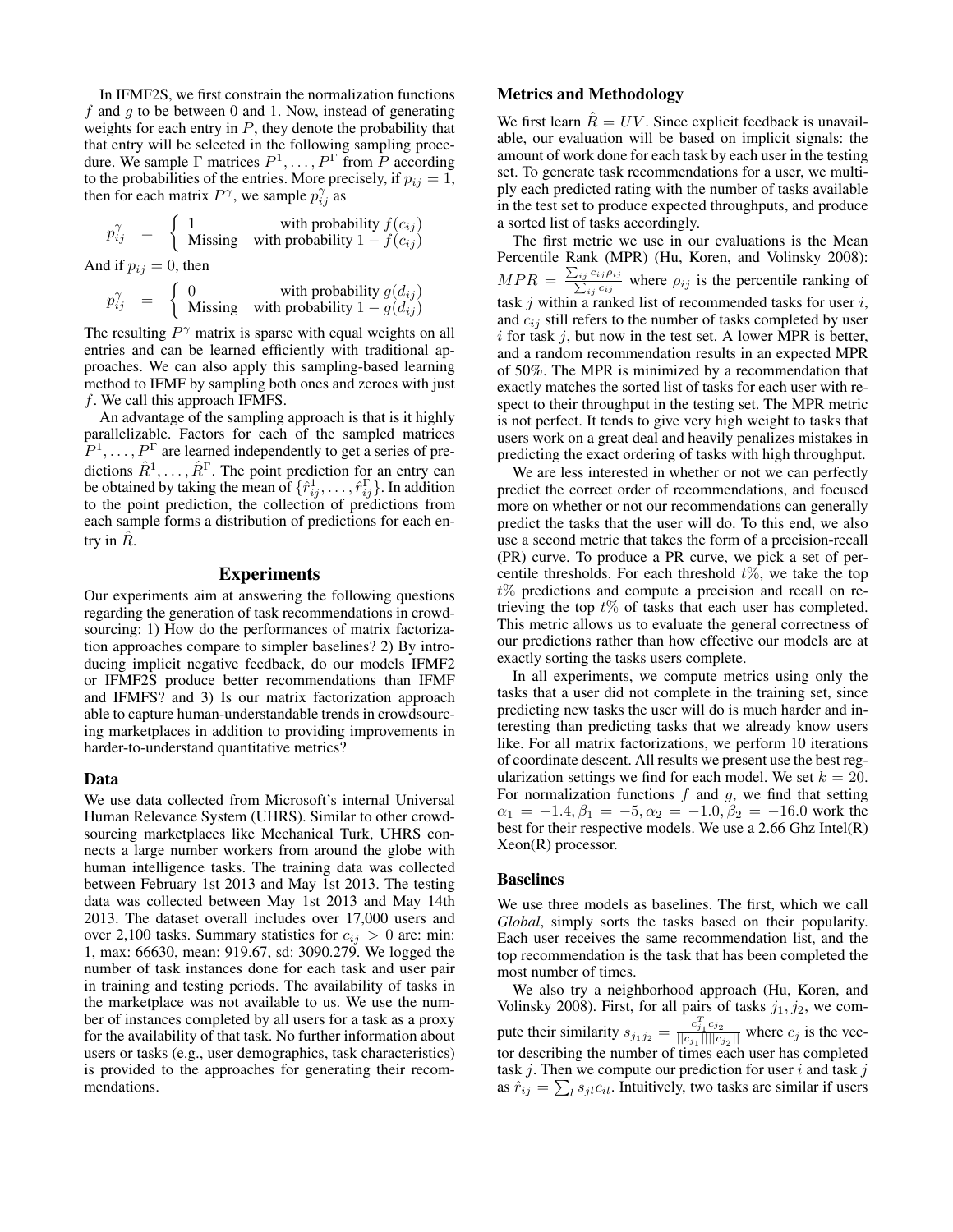In IFMF2S, we first constrain the normalization functions f and  $q$  to be between 0 and 1. Now, instead of generating weights for each entry in  $P$ , they denote the probability that that entry will be selected in the following sampling procedure. We sample  $\Gamma$  matrices  $P^1, \ldots, P^{\Gamma}$  from P according to the probabilities of the entries. More precisely, if  $p_{ij} = 1$ , then for each matrix  $P^{\gamma}$ , we sample  $p_{ij}^{\gamma}$  as

$$
p_{ij}^{\gamma} = \begin{cases} 1 & \text{with probability } f(c_{ij}) \\ \text{Missing} & \text{with probability } 1 - f(c_{ij}) \end{cases}
$$

And if  $p_{ij} = 0$ , then

$$
p_{ij}^{\gamma} = \begin{cases} 0 & \text{with probability } g(d_{ij}) \\ \text{Missing} & \text{with probability } 1 - g(d_{ij}) \end{cases}
$$

The resulting  $P^{\gamma}$  matrix is sparse with equal weights on all entries and can be learned efficiently with traditional approaches. We can also apply this sampling-based learning method to IFMF by sampling both ones and zeroes with just  $f$ . We call this approach IFMFS.

An advantage of the sampling approach is that is it highly parallelizable. Factors for each of the sampled matrices  $(P^1, \ldots, P^{\Gamma})$  are learned independently to get a series of predictions  $\hat{R}^1, \ldots, \hat{R}^{\Gamma}$ . The point prediction for an entry can be obtained by taking the mean of  $\{\hat{r}_{ij}^1, \dots, \hat{r}_{ij}^{\Gamma}\}\.$  In addition to the point prediction, the collection of predictions from each sample forms a distribution of predictions for each entry in  $R$ .

#### Experiments

Our experiments aim at answering the following questions regarding the generation of task recommendations in crowdsourcing: 1) How do the performances of matrix factorization approaches compare to simpler baselines? 2) By introducing implicit negative feedback, do our models IFMF2 or IFMF2S produce better recommendations than IFMF and IFMFS? and 3) Is our matrix factorization approach able to capture human-understandable trends in crowdsourcing marketplaces in addition to providing improvements in harder-to-understand quantitative metrics?

#### Data

We use data collected from Microsoft's internal Universal Human Relevance System (UHRS). Similar to other crowdsourcing marketplaces like Mechanical Turk, UHRS connects a large number workers from around the globe with human intelligence tasks. The training data was collected between February 1st 2013 and May 1st 2013. The testing data was collected between May 1st 2013 and May 14th 2013. The dataset overall includes over 17,000 users and over 2,100 tasks. Summary statistics for  $c_{ij} > 0$  are: min: 1, max: 66630, mean: 919.67, sd: 3090.279. We logged the number of task instances done for each task and user pair in training and testing periods. The availability of tasks in the marketplace was not available to us. We use the number of instances completed by all users for a task as a proxy for the availability of that task. No further information about users or tasks (e.g., user demographics, task characteristics) is provided to the approaches for generating their recommendations.

#### Metrics and Methodology

We first learn  $\hat{R} = UV$ . Since explicit feedback is unavailable, our evaluation will be based on implicit signals: the amount of work done for each task by each user in the testing set. To generate task recommendations for a user, we multiply each predicted rating with the number of tasks available in the test set to produce expected throughputs, and produce a sorted list of tasks accordingly.

The first metric we use in our evaluations is the Mean Percentile Rank (MPR) (Hu, Koren, and Volinsky 2008):  $MPR = \frac{\sum_{ij}}{\sum_{i}}$  $c_{ij} \rho_{ij}$  $\frac{\sum_{ij} p_{ij}}{\sum_{ij} c_{ij}}$  where  $\rho_{ij}$  is the percentile ranking of task  $j$  within a ranked list of recommended tasks for user  $i$ , and  $c_{ij}$  still refers to the number of tasks completed by user  $i$  for task  $j$ , but now in the test set. A lower MPR is better, and a random recommendation results in an expected MPR of 50%. The MPR is minimized by a recommendation that exactly matches the sorted list of tasks for each user with respect to their throughput in the testing set. The MPR metric is not perfect. It tends to give very high weight to tasks that users work on a great deal and heavily penalizes mistakes in predicting the exact ordering of tasks with high throughput.

We are less interested in whether or not we can perfectly predict the correct order of recommendations, and focused more on whether or not our recommendations can generally predict the tasks that the user will do. To this end, we also use a second metric that takes the form of a precision-recall (PR) curve. To produce a PR curve, we pick a set of percentile thresholds. For each threshold  $t\%$ , we take the top  $t\%$  predictions and compute a precision and recall on retrieving the top  $t\%$  of tasks that each user has completed. This metric allows us to evaluate the general correctness of our predictions rather than how effective our models are at exactly sorting the tasks users complete.

In all experiments, we compute metrics using only the tasks that a user did not complete in the training set, since predicting new tasks the user will do is much harder and interesting than predicting tasks that we already know users like. For all matrix factorizations, we perform 10 iterations of coordinate descent. All results we present use the best regularization settings we find for each model. We set  $k = 20$ . For normalization functions  $f$  and  $g$ , we find that setting  $\alpha_1 = -1.4, \beta_1 = -5, \alpha_2 = -1.0, \beta_2 = -16.0$  work the best for their respective models. We use a 2.66 Ghz Intel(R) Xeon(R) processor.

#### Baselines

We use three models as baselines. The first, which we call *Global*, simply sorts the tasks based on their popularity. Each user receives the same recommendation list, and the top recommendation is the task that has been completed the most number of times.

We also try a neighborhood approach (Hu, Koren, and Volinsky 2008). First, for all pairs of tasks  $j_1, j_2$ , we compute their similarity  $s_{j_1 j_2} = \frac{c_{j_1}^T c_{j_2}}{||c_{i_1}|| ||c_{i_2}||}$  $\frac{c_{j_1}c_{j_2}}{||c_{j_1}|| ||c_{j_2}||}$  where  $c_j$  is the vector describing the number of times each user has completed task  $j$ . Then we compute our prediction for user  $i$  and task  $j$ as  $\hat{r}_{ij} = \sum_{l} s_{jl} c_{il}$ . Intuitively, two tasks are similar if users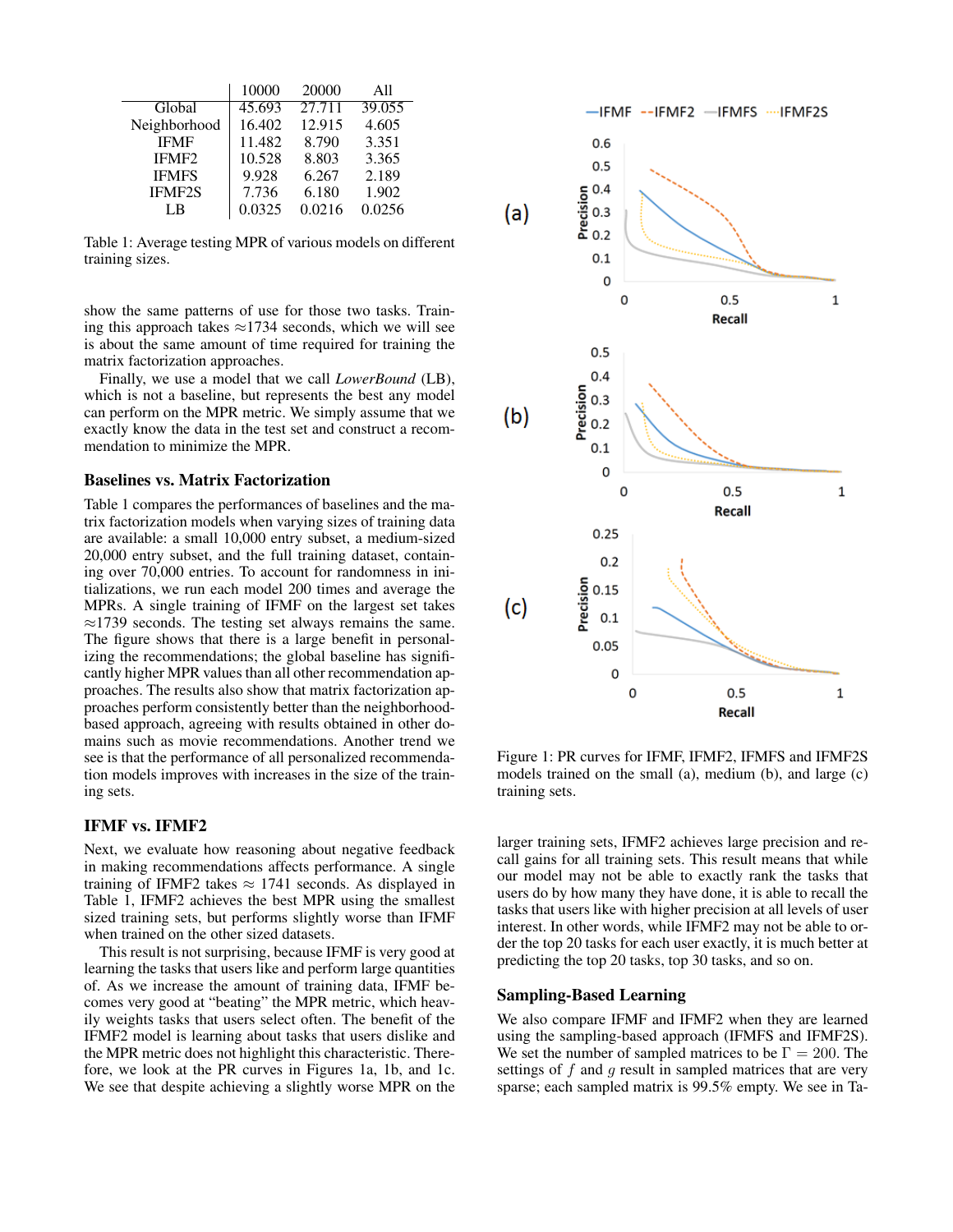|                   | 10000               | 20000  | All    |
|-------------------|---------------------|--------|--------|
| Global            | $45.\overline{693}$ | 27.711 | 39.055 |
| Neighborhood      | 16.402              | 12.915 | 4.605  |
| <b>IFMF</b>       | 11.482              | 8.790  | 3.351  |
| IFMF <sub>2</sub> | 10.528              | 8.803  | 3.365  |
| <b>IFMFS</b>      | 9.928               | 6.267  | 2.189  |
| <b>IFMF2S</b>     | 7.736               | 6.180  | 1.902  |
| LB                | 0.0325              | 0.0216 | 0.0256 |

Table 1: Average testing MPR of various models on different training sizes.

show the same patterns of use for those two tasks. Training this approach takes  $\approx$ 1734 seconds, which we will see is about the same amount of time required for training the matrix factorization approaches.

Finally, we use a model that we call *LowerBound* (LB), which is not a baseline, but represents the best any model can perform on the MPR metric. We simply assume that we exactly know the data in the test set and construct a recommendation to minimize the MPR.

#### Baselines vs. Matrix Factorization

Table 1 compares the performances of baselines and the matrix factorization models when varying sizes of training data are available: a small 10,000 entry subset, a medium-sized 20,000 entry subset, and the full training dataset, containing over 70,000 entries. To account for randomness in initializations, we run each model 200 times and average the MPRs. A single training of IFMF on the largest set takes ≈1739 seconds. The testing set always remains the same. The figure shows that there is a large benefit in personalizing the recommendations; the global baseline has significantly higher MPR values than all other recommendation approaches. The results also show that matrix factorization approaches perform consistently better than the neighborhoodbased approach, agreeing with results obtained in other domains such as movie recommendations. Another trend we see is that the performance of all personalized recommendation models improves with increases in the size of the training sets.

#### IFMF vs. IFMF2

Next, we evaluate how reasoning about negative feedback in making recommendations affects performance. A single training of IFMF2 takes  $\approx 1741$  seconds. As displayed in Table 1, IFMF2 achieves the best MPR using the smallest sized training sets, but performs slightly worse than IFMF when trained on the other sized datasets.

This result is not surprising, because IFMF is very good at learning the tasks that users like and perform large quantities of. As we increase the amount of training data, IFMF becomes very good at "beating" the MPR metric, which heavily weights tasks that users select often. The benefit of the IFMF2 model is learning about tasks that users dislike and the MPR metric does not highlight this characteristic. Therefore, we look at the PR curves in Figures 1a, 1b, and 1c. We see that despite achieving a slightly worse MPR on the



Figure 1: PR curves for IFMF, IFMF2, IFMFS and IFMF2S models trained on the small (a), medium (b), and large (c) training sets.

larger training sets, IFMF2 achieves large precision and recall gains for all training sets. This result means that while our model may not be able to exactly rank the tasks that users do by how many they have done, it is able to recall the tasks that users like with higher precision at all levels of user interest. In other words, while IFMF2 may not be able to order the top 20 tasks for each user exactly, it is much better at predicting the top 20 tasks, top 30 tasks, and so on.

#### Sampling-Based Learning

We also compare IFMF and IFMF2 when they are learned using the sampling-based approach (IFMFS and IFMF2S). We set the number of sampled matrices to be  $\Gamma = 200$ . The settings of  $f$  and  $g$  result in sampled matrices that are very sparse; each sampled matrix is 99.5% empty. We see in Ta-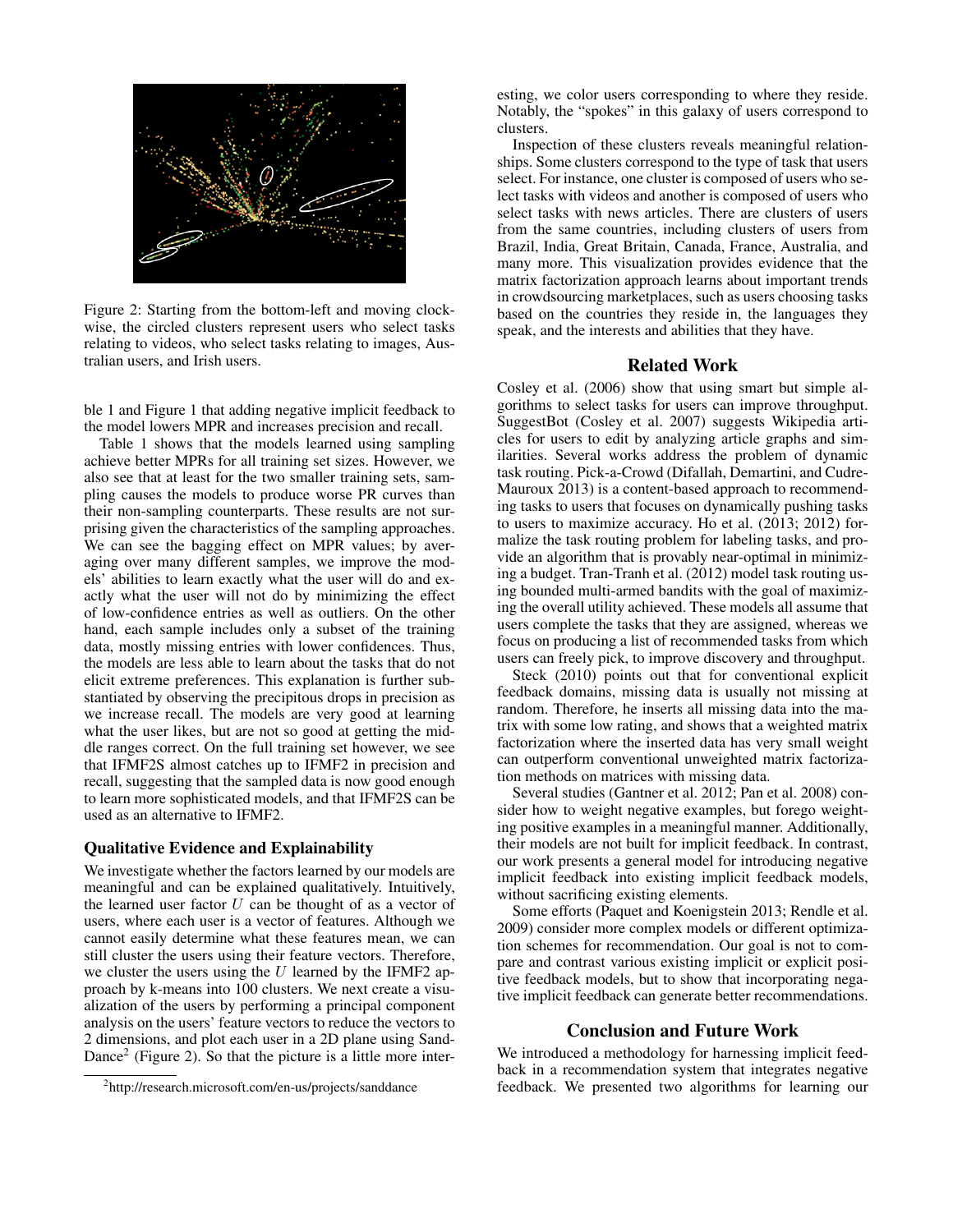

Figure 2: Starting from the bottom-left and moving clockwise, the circled clusters represent users who select tasks relating to videos, who select tasks relating to images, Australian users, and Irish users.

ble 1 and Figure 1 that adding negative implicit feedback to the model lowers MPR and increases precision and recall.

Table 1 shows that the models learned using sampling achieve better MPRs for all training set sizes. However, we also see that at least for the two smaller training sets, sampling causes the models to produce worse PR curves than their non-sampling counterparts. These results are not surprising given the characteristics of the sampling approaches. We can see the bagging effect on MPR values; by averaging over many different samples, we improve the models' abilities to learn exactly what the user will do and exactly what the user will not do by minimizing the effect of low-confidence entries as well as outliers. On the other hand, each sample includes only a subset of the training data, mostly missing entries with lower confidences. Thus, the models are less able to learn about the tasks that do not elicit extreme preferences. This explanation is further substantiated by observing the precipitous drops in precision as we increase recall. The models are very good at learning what the user likes, but are not so good at getting the middle ranges correct. On the full training set however, we see that IFMF2S almost catches up to IFMF2 in precision and recall, suggesting that the sampled data is now good enough to learn more sophisticated models, and that IFMF2S can be used as an alternative to IFMF2.

#### Qualitative Evidence and Explainability

We investigate whether the factors learned by our models are meaningful and can be explained qualitatively. Intuitively, the learned user factor  $U$  can be thought of as a vector of users, where each user is a vector of features. Although we cannot easily determine what these features mean, we can still cluster the users using their feature vectors. Therefore, we cluster the users using the  $U$  learned by the IFMF2 approach by k-means into 100 clusters. We next create a visualization of the users by performing a principal component analysis on the users' feature vectors to reduce the vectors to 2 dimensions, and plot each user in a 2D plane using Sand-Dance<sup>2</sup> (Figure 2). So that the picture is a little more inter-

esting, we color users corresponding to where they reside. Notably, the "spokes" in this galaxy of users correspond to clusters.

Inspection of these clusters reveals meaningful relationships. Some clusters correspond to the type of task that users select. For instance, one cluster is composed of users who select tasks with videos and another is composed of users who select tasks with news articles. There are clusters of users from the same countries, including clusters of users from Brazil, India, Great Britain, Canada, France, Australia, and many more. This visualization provides evidence that the matrix factorization approach learns about important trends in crowdsourcing marketplaces, such as users choosing tasks based on the countries they reside in, the languages they speak, and the interests and abilities that they have.

#### Related Work

Cosley et al. (2006) show that using smart but simple algorithms to select tasks for users can improve throughput. SuggestBot (Cosley et al. 2007) suggests Wikipedia articles for users to edit by analyzing article graphs and similarities. Several works address the problem of dynamic task routing. Pick-a-Crowd (Difallah, Demartini, and Cudre-Mauroux 2013) is a content-based approach to recommending tasks to users that focuses on dynamically pushing tasks to users to maximize accuracy. Ho et al. (2013; 2012) formalize the task routing problem for labeling tasks, and provide an algorithm that is provably near-optimal in minimizing a budget. Tran-Tranh et al. (2012) model task routing using bounded multi-armed bandits with the goal of maximizing the overall utility achieved. These models all assume that users complete the tasks that they are assigned, whereas we focus on producing a list of recommended tasks from which users can freely pick, to improve discovery and throughput.

Steck (2010) points out that for conventional explicit feedback domains, missing data is usually not missing at random. Therefore, he inserts all missing data into the matrix with some low rating, and shows that a weighted matrix factorization where the inserted data has very small weight can outperform conventional unweighted matrix factorization methods on matrices with missing data.

Several studies (Gantner et al. 2012; Pan et al. 2008) consider how to weight negative examples, but forego weighting positive examples in a meaningful manner. Additionally, their models are not built for implicit feedback. In contrast, our work presents a general model for introducing negative implicit feedback into existing implicit feedback models, without sacrificing existing elements.

Some efforts (Paquet and Koenigstein 2013; Rendle et al. 2009) consider more complex models or different optimization schemes for recommendation. Our goal is not to compare and contrast various existing implicit or explicit positive feedback models, but to show that incorporating negative implicit feedback can generate better recommendations.

#### Conclusion and Future Work

We introduced a methodology for harnessing implicit feedback in a recommendation system that integrates negative feedback. We presented two algorithms for learning our

<sup>2</sup> http://research.microsoft.com/en-us/projects/sanddance